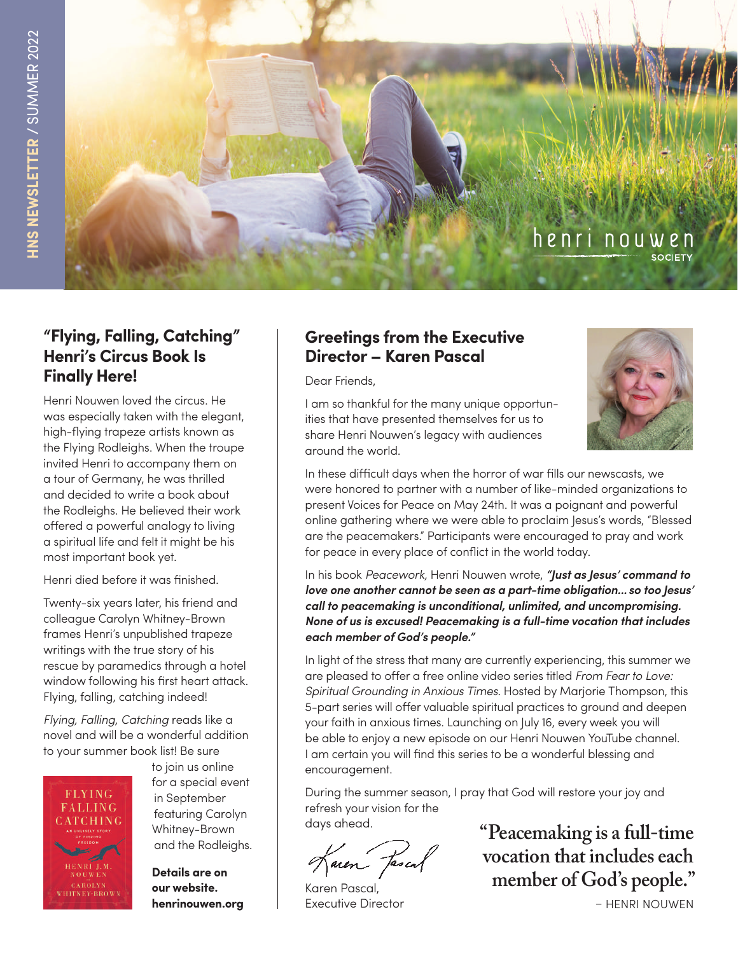

#### **"Flying, Falling, Catching" Henri's Circus Book Is Finally Here!**

Henri Nouwen loved the circus. He was especially taken with the elegant, high-flying trapeze artists known as the Flying Rodleighs. When the troupe invited Henri to accompany them on a tour of Germany, he was thrilled and decided to write a book about the Rodleighs. He believed their work offered a powerful analogy to living a spiritual life and felt it might be his most important book yet.

Henri died before it was finished.

Twenty-six years later, his friend and colleague Carolyn Whitney-Brown frames Henri's unpublished trapeze writings with the true story of his rescue by paramedics through a hotel window following his first heart attack. Flying, falling, catching indeed!

*Flying, Falling, Catching* reads like a novel and will be a wonderful addition to your summer book list! Be sure



 to join us online for a special event<br>ELYING in September  $\frac{\text{FLIILIC}}{\text{ALLING}}$  in September **ALLING** featuring Carolyn Whitney-Brown and the Rodleighs.

> **Details are on henrinouwen.org**

#### **Greetings from the Executive Director – Karen Pascal**

Dear Friends,



I am so thankful for the many unique opportunities that have presented themselves for us to share Henri Nouwen's legacy with audiences around the world.

In these difficult days when the horror of war fills our newscasts, we were honored to partner with a number of like-minded organizations to present Voices for Peace on May 24th. It was a poignant and powerful online gathering where we were able to proclaim Jesus's words, "Blessed are the peacemakers." Participants were encouraged to pray and work for peace in every place of conflict in the world today.

In his book *Peacework,* Henri Nouwen wrote, *"Just as Jesus' command to love one another cannot be seen as a part-time obligation... so too Jesus' call to peacemaking is unconditional, unlimited, and uncompromising. None of us is excused! Peacemaking is a full-time vocation that includes each member of God's people."*

In light of the stress that many are currently experiencing, this summer we are pleased to offer a free online video series titled *From Fear to Love: Spiritual Grounding in Anxious Times.* Hosted by Marjorie Thompson, this 5-part series will offer valuable spiritual practices to ground and deepen your faith in anxious times. Launching on July 16, every week you will be able to enjoy a new episode on our Henri Nouwen YouTube channel. I am certain you will find this series to be a wonderful blessing and encouragement.

During the summer season, I pray that God will restore your joy and refresh your vision for the days ahead.

faren fascal

Karen Pascal, Executive Director

**"Peacemaking is a full-time vocation that includes each member of God's people."** 

– HENRI NOUWEN